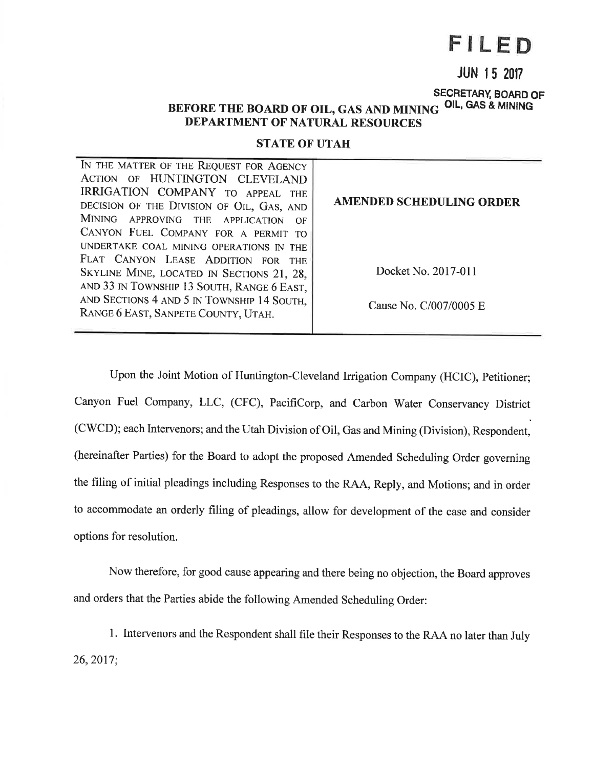# FILED

## **JUN 15 2017**

#### SECRETARY, BOARD OF BEFORE THE BOARD OF OIL, GAS AND MINING OIL, GAS & MINING **DEPARTMENT OF NATURAL RESOURCES**

### **STATE OF UTAH**

| IN THE MATTER OF THE REQUEST FOR AGENCY<br>ACTION OF HUNTINGTON CLEVELAND<br>IRRIGATION COMPANY TO APPEAL<br><b>THE</b><br>DECISION OF THE DIVISION OF OIL, GAS, AND<br>MINING APPROVING THE APPLICATION<br>$\Omega$ F<br>CANYON FUEL COMPANY FOR A PERMIT<br>T <sup>O</sup><br>UNDERTAKE COAL MINING OPERATIONS IN THE | <b>AMENDED SCHEDULING ORDER</b> |
|-------------------------------------------------------------------------------------------------------------------------------------------------------------------------------------------------------------------------------------------------------------------------------------------------------------------------|---------------------------------|
| FLAT CANYON LEASE ADDITION FOR<br><b>THE</b><br>SKYLINE MINE, LOCATED IN SECTIONS 21, 28,<br>AND 33 IN TOWNSHIP 13 SOUTH, RANGE 6 EAST,                                                                                                                                                                                 | Docket No. 2017-011             |
| AND SECTIONS 4 AND 5 IN TOWNSHIP 14 SOUTH,<br>RANGE 6 EAST, SANPETE COUNTY, UTAH.                                                                                                                                                                                                                                       | Cause No. C/007/0005 E          |

Upon the Joint Motion of Huntington-Cleveland Irrigation Company (HCIC), Petitioner; Canyon Fuel Company, LLC, (CFC), PacifiCorp, and Carbon Water Conservancy District (CWCD); each Intervenors; and the Utah Division of Oil, Gas and Mining (Division), Respondent, (hereinafter Parties) for the Board to adopt the proposed Amended Scheduling Order governing the filing of initial pleadings including Responses to the RAA, Reply, and Motions; and in order to accommodate an orderly filing of pleadings, allow for development of the case and consider options for resolution.

Now therefore, for good cause appearing and there being no objection, the Board approves and orders that the Parties abide the following Amended Scheduling Order:

1. Intervenors and the Respondent shall file their Responses to the RAA no later than July 26, 2017;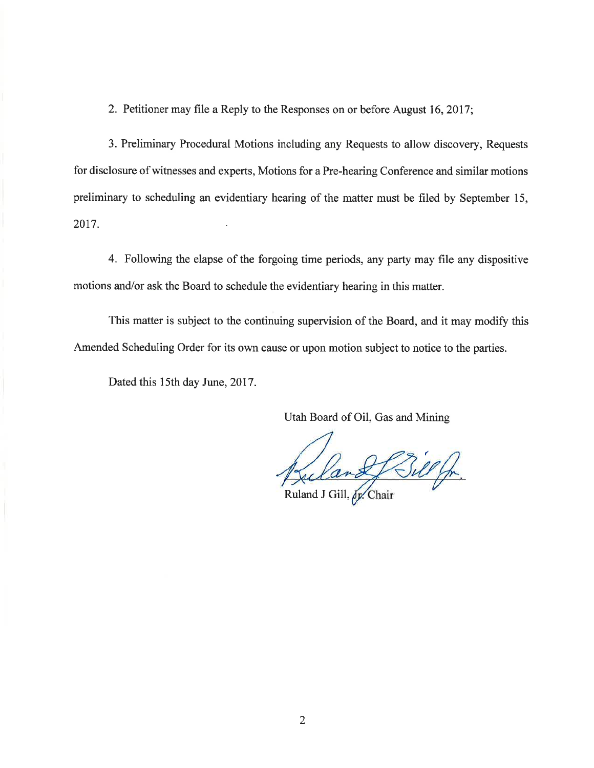2. Petitioner may file a Reply to the Responses on or before August 16,2017;

3. Preliminary Procedural Motions including any Requests to allow discovery, Requests for disclosure of witnesses and experts, Motions for a Pre-hearing Conference and similar motions preliminary to scheduling an evidentiary hearing of the matter must be filed by September 15, 2017.

4. Following the elapse of the forgoing time periods, any party may file any dispositive motions and/or ask the Board to schedule the evidentiary hearing in this matter.

This matter is subject to the continuing supervision of the Board, and it may modify this Amended Scheduling Order for its own cause or upon motion subject to notice to the parties.

Dated this 15th day June, 2017.

Utah Board of Oil, Gas and Mining

Billf

Ruland J Gill,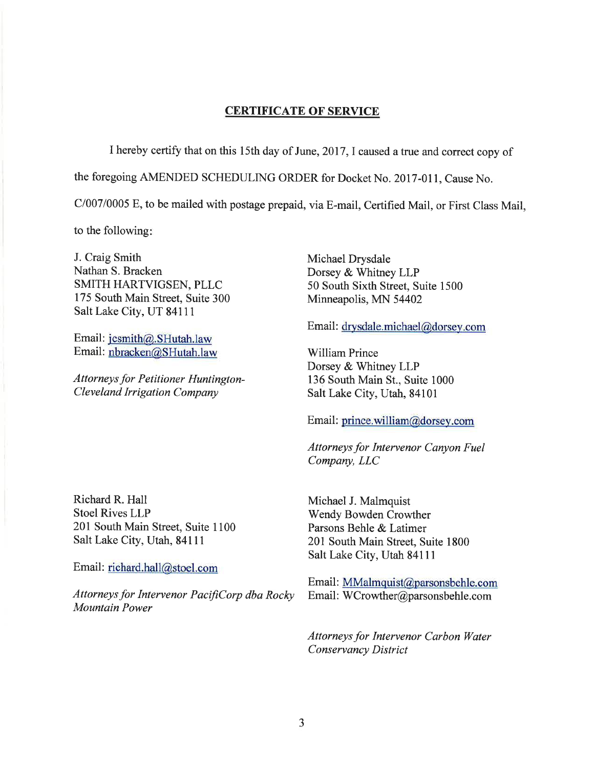## CERTIFICATE OF SERVICE

I hereby certify that on this l5th day of June,2017,I caused a true and correct copy of

the foregoing AMENDED SCHEDULING ORDER for Docket No. 2017-01l, Cause No.

C100710005 E, to be mailed with postage prepaid, via E-mail, Certified Mail, or First Class Mail,

to the following

J. Craig Smith Nathan S. Bracken SMITH HARTVIGSEN, PLLC 175 South Main Street, Suite 300 Salt Lake City, UT 84111

Email: jcsmith@. SHutah.law Email: nbracken@SHutah.law

Attorneys for Petitioner Huntington-Cleveland Irrigation Company

Richard R. Hall Stoel Rives LLP 201 South Main Street, Suite 1100 Salt Lake City, Utah, 84111

Email: richard.hall@stoel.com

Attorneys for Intervenor PacifiCorp dba Rocky Mountain Power

Michael Drysdale Dorsey & Whitney LLP 50 South Sixth Street, Suite 1500 Minneapolis, MN 54402

Email : drysdale.michael@dorsey.com

William Prince Dorsey & Whitney LLP 136 South Main St., Suite 1000 Salt Lake City, Utah, 84101

Email: prince.william@dorsey.com

Attorneys for Intervenor Canyon Fuel Company, LLC

Michael J. Malmquist Wendy Bowden Crowther Parsons Behle & Latimer 201 South Main Street, Suite 1800 Salt Lake City, Utah 84111

Email: MMalmquist@parsonsbehle.com Email: WCrowther@parsonsbehle.com

Attorneys for Intervenor Carbon Water Conservancy District